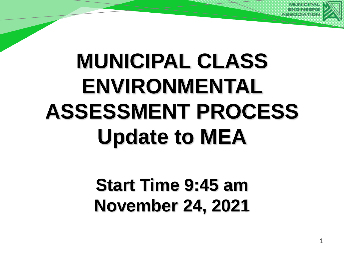

# **MUNICIPAL CLASS ENVIRONMENTAL ASSESSMENT PROCESS Update to MEA**

## **Start Time 9:45 am November 24, 2021**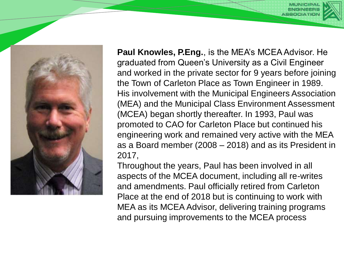

**Paul Knowles, P.Eng.**, is the MEA's MCEA Advisor. He graduated from Queen's University as a Civil Engineer and worked in the private sector for 9 years before joining the Town of Carleton Place as Town Engineer in 1989. His involvement with the Municipal Engineers Association (MEA) and the Municipal Class Environment Assessment (MCEA) began shortly thereafter. In 1993, Paul was promoted to CAO for Carleton Place but continued his engineering work and remained very active with the MEA as a Board member (2008 – 2018) and as its President in 2017,

Throughout the years, Paul has been involved in all aspects of the MCEA document, including all re-writes and amendments. Paul officially retired from Carleton Place at the end of 2018 but is continuing to work with MEA as its MCEA Advisor, delivering training programs and pursuing improvements to the MCEA process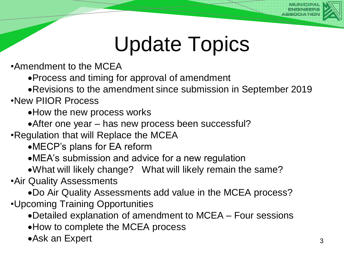

## Update Topics

•Amendment to the MCEA

Process and timing for approval of amendment

Revisions to the amendment since submission in September 2019

•New PIIOR Process

How the new process works

• After one year – has new process been successful?

•Regulation that will Replace the MCEA

MECP's plans for EA reform

MEA's submission and advice for a new regulation

What will likely change? What will likely remain the same?

•Air Quality Assessments

Do Air Quality Assessments add value in the MCEA process?

•Upcoming Training Opportunities

Detailed explanation of amendment to MCEA – Four sessions

How to complete the MCEA process

Ask an Expert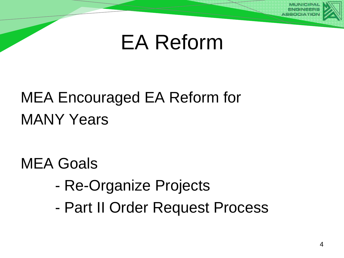

## MEA Encouraged EA Reform for MANY Years

MEA Goals

- Re-Organize Projects
- Part II Order Request Process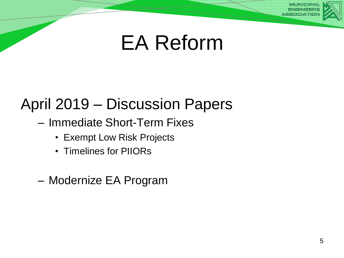#### April 2019 – Discussion Papers

- Immediate Short-Term Fixes
	- Exempt Low Risk Projects
	- Timelines for PIIORs
- Modernize EA Program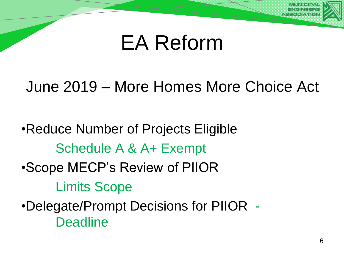

#### June 2019 – More Homes More Choice Act

•Reduce Number of Projects Eligible Schedule A & A+ Exempt •Scope MECP's Review of PIIOR Limits Scope •Delegate/Prompt Decisions for PIIOR - **Deadline**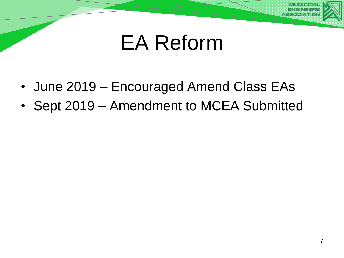

- June 2019 Encouraged Amend Class EAs
- Sept 2019 Amendment to MCEA Submitted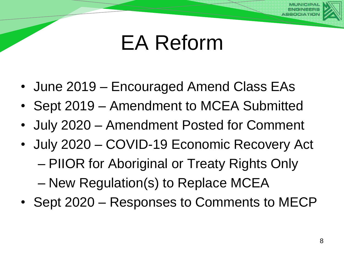- June 2019 Encouraged Amend Class EAs
- Sept 2019 Amendment to MCEA Submitted
- July 2020 Amendment Posted for Comment
- July 2020 COVID-19 Economic Recovery Act – PIIOR for Aboriginal or Treaty Rights Only – New Regulation(s) to Replace MCEA
- Sept 2020 Responses to Comments to MECP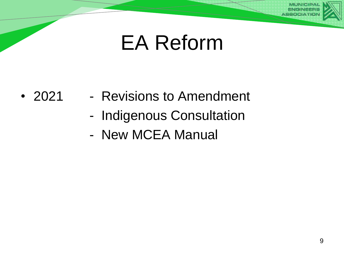- 2021 Revisions to Amendment
	- Indigenous Consultation
	- New MCEA Manual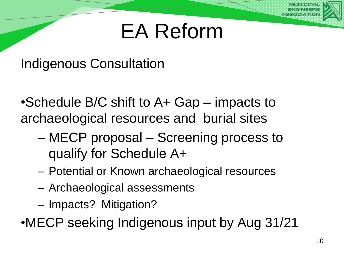Indigenous Consultation

•Schedule B/C shift to A+ Gap – impacts to archaeological resources and burial sites

- MECP proposal Screening process to qualify for Schedule A+
- Potential or Known archaeological resources
- Archaeological assessments
- Impacts? Mitigation?

•MECP seeking Indigenous input by Aug 31/21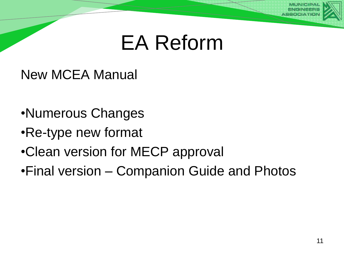New MCEA Manual

- •Numerous Changes
- •Re-type new format
- •Clean version for MECP approval
- •Final version Companion Guide and Photos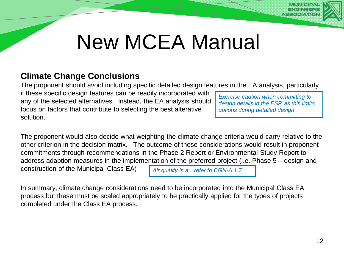

## New MCEA Manual

#### **Climate Change Conclusions**

The proponent should avoid including specific detailed design features in the EA analysis, particularly

if these specific design features can be readily incorporated with any of the selected alternatives. Instead, the EA analysis should focus on factors that contribute to selecting the best alterative solution.

*Exercise caution when committing to design details in the ESR as this limits options during detailed design*

The proponent would also decide what weighting the climate change criteria would carry relative to the other criterion in the decision matrix. The outcome of these considerations would result in proponent commitments through recommendations in the Phase 2 Report or Environmental Study Report to address adaption measures in the implementation of the preferred project (i.e. Phase 5 – design and construction of the Municipal Class EA) *Air quality is a…refer to CGN-A.1.7*

In summary, climate change considerations need to be incorporated into the Municipal Class EA process but these must be scaled appropriately to be practically applied for the types of projects completed under the Class EA process.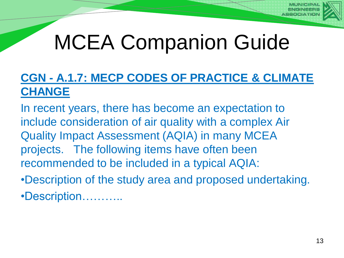

## MCEA Companion Guide

#### **CGN - A.1.7: MECP CODES OF PRACTICE & CLIMATE CHANGE**

In recent years, there has become an expectation to include consideration of air quality with a complex Air Quality Impact Assessment (AQIA) in many MCEA projects. The following items have often been recommended to be included in a typical AQIA:

•Description of the study area and proposed undertaking.

•Description………..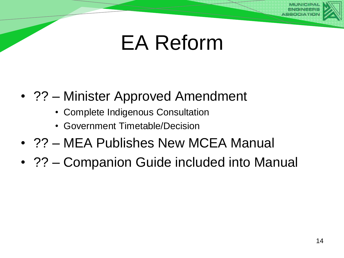#### • ?? – Minister Approved Amendment

- Complete Indigenous Consultation
- Government Timetable/Decision
- ?? MEA Publishes New MCEA Manual
- ?? Companion Guide included into Manual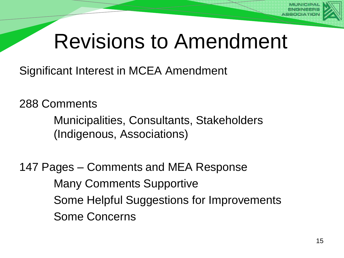## Revisions to Amendment

Significant Interest in MCEA Amendment

288 Comments

Municipalities, Consultants, Stakeholders (Indigenous, Associations)

147 Pages – Comments and MEA Response Many Comments Supportive Some Helpful Suggestions for Improvements Some Concerns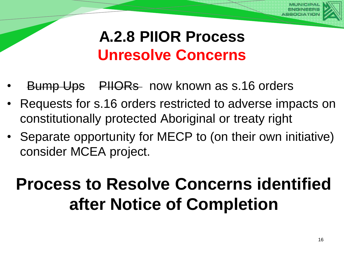

#### **A.2.8 PIIOR Process Unresolve Concerns**

- **Bump Ups** PIIORs now known as s.16 orders
- Requests for s.16 orders restricted to adverse impacts on constitutionally protected Aboriginal or treaty right
- Separate opportunity for MECP to (on their own initiative) consider MCEA project.

## **Process to Resolve Concerns identified after Notice of Completion**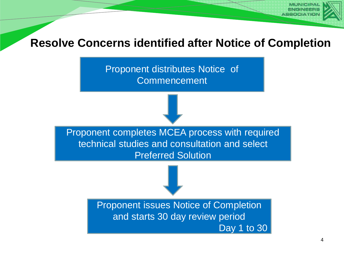#### **Resolve Concerns identified after Notice of Completion**

Proponent distributes Notice of **Commencement** 

Proponent completes MCEA process with required technical studies and consultation and select Preferred Solution

> Proponent issues Notice of Completion and starts 30 day review period Day 1 to 30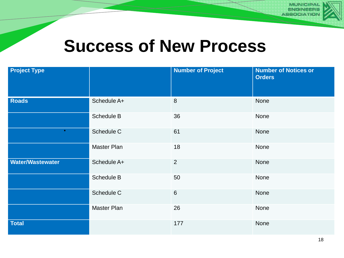

#### **Success of New Process**

| <b>Project Type</b>     |             | <b>Number of Project</b> | <b>Number of Notices or</b><br><b>Orders</b> |
|-------------------------|-------------|--------------------------|----------------------------------------------|
| <b>Roads</b>            | Schedule A+ | $\delta$                 | None                                         |
|                         | Schedule B  | 36                       | None                                         |
| $\bullet$               | Schedule C  | 61                       | None                                         |
|                         | Master Plan | 18                       | None                                         |
| <b>Water/Wastewater</b> | Schedule A+ | $\overline{2}$           | None                                         |
|                         | Schedule B  | 50                       | None                                         |
|                         | Schedule C  | $\,6$                    | None                                         |
|                         | Master Plan | 26                       | None                                         |
| <b>Total</b>            |             | 177                      | None                                         |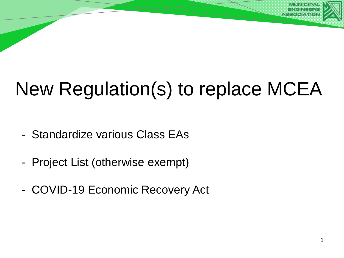## New Regulation(s) to replace MCEA

- Standardize various Class EAs
- Project List (otherwise exempt)
- COVID-19 Economic Recovery Act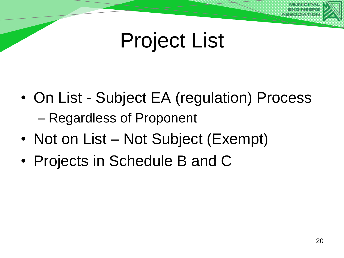## Project List

- On List Subject EA (regulation) Process – Regardless of Proponent
- Not on List Not Subject (Exempt)
- Projects in Schedule B and C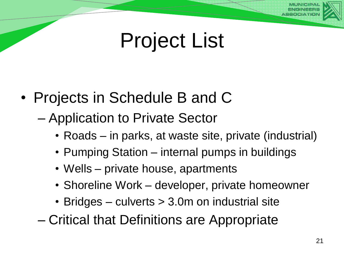## Project List

- Projects in Schedule B and C
	- Application to Private Sector
		- Roads in parks, at waste site, private (industrial)
		- Pumping Station internal pumps in buildings
		- Wells private house, apartments
		- Shoreline Work developer, private homeowner
		- Bridges culverts > 3.0m on industrial site
	- Critical that Definitions are Appropriate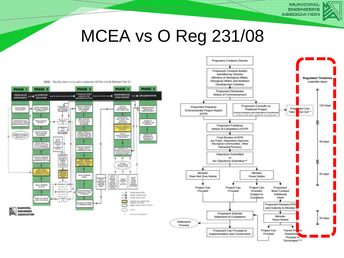### MCEA vs O Reg 231/08





**MUNICIPAL ENGINEERS ASSOCIATION**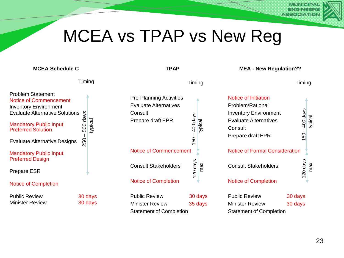#### MCEA vs TPAP vs New Reg

**TPAP**

Timing

#### **MCEA Schedule C**

Timing

#### Problem Statement Notice of Commencement Inventory Environment Evaluate Alternative Solutions Mandatory Public Input Preferred Solution Evaluate Alternative Designs Mandatory Public Input Preferred Design Prepare ESR Notice of Completion 250 – 500 days typical

Public Review 30 days Minister Review 30 days

| <b>Pre-Planning Activities</b><br><b>Evaluate Alternatives</b><br>Consult<br><b>Prepare draft EPR</b> | avep 00<br><u>င</u> ္တ |
|-------------------------------------------------------------------------------------------------------|------------------------|
| <b>Notice of Commencement</b>                                                                         |                        |
| <b>Consult Stakeholders</b>                                                                           | 20 days<br>max         |
| <b>Notice of Completion</b>                                                                           |                        |
|                                                                                                       |                        |

Public Review 30 days Minister Review 35 days Statement of Completion

**MEA - New Regulation??**

Timing

| Notice of Initiation<br>Problem/Rational<br><b>Inventory Environment</b><br><b>Evaluate Alternatives</b><br>Consult<br><b>Prepare draft EPR</b> | $150 - 400$ days   |     |
|-------------------------------------------------------------------------------------------------------------------------------------------------|--------------------|-----|
| <b>Notice of Formal Consideration</b>                                                                                                           |                    |     |
| <b>Consult Stakeholders</b>                                                                                                                     | 20 days            | max |
| <b>Notice of Completion</b>                                                                                                                     |                    |     |
| <b>Public Review</b><br>Minister Review<br>Statement of Completion                                                                              | 30 days<br>30 days |     |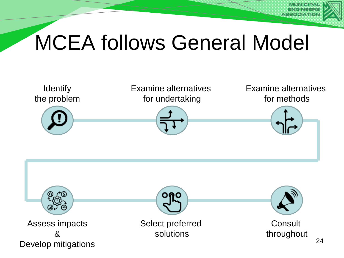

## MCEA follows General Model

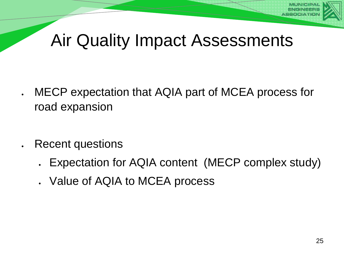

- MECP expectation that AQIA part of MCEA process for road expansion
	- Recent questions
		- Expectation for AQIA content (MECP complex study)
		- Value of AQIA to MCEA process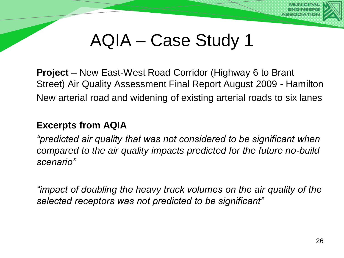

**Project** – New East-West Road Corridor (Highway 6 to Brant Street) Air Quality Assessment Final Report August 2009 - Hamilton New arterial road and widening of existing arterial roads to six lanes

#### **Excerpts from AQIA**

*"predicted air quality that was not considered to be significant when compared to the air quality impacts predicted for the future no-build scenario"*

*"impact of doubling the heavy truck volumes on the air quality of the selected receptors was not predicted to be significant"*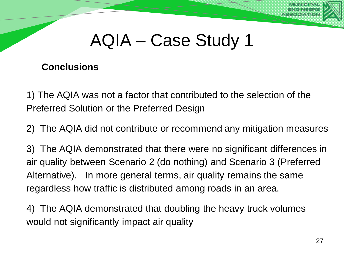

#### **Conclusions**

1) The AQIA was not a factor that contributed to the selection of the Preferred Solution or the Preferred Design

2) The AQIA did not contribute or recommend any mitigation measures

3) The AQIA demonstrated that there were no significant differences in air quality between Scenario 2 (do nothing) and Scenario 3 (Preferred Alternative). In more general terms, air quality remains the same regardless how traffic is distributed among roads in an area.

4) The AQIA demonstrated that doubling the heavy truck volumes would not significantly impact air quality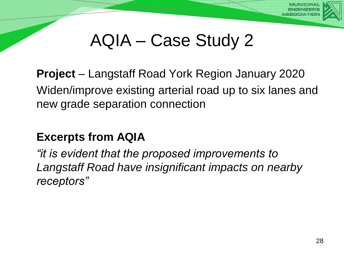

**Project** – Langstaff Road York Region January 2020 Widen/improve existing arterial road up to six lanes and new grade separation connection

#### **Excerpts from AQIA**

*"it is evident that the proposed improvements to Langstaff Road have insignificant impacts on nearby receptors"*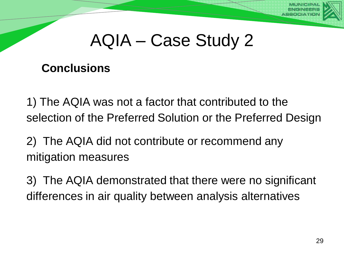

#### **Conclusions**

1) The AQIA was not a factor that contributed to the selection of the Preferred Solution or the Preferred Design

2) The AQIA did not contribute or recommend any mitigation measures

3) The AQIA demonstrated that there were no significant differences in air quality between analysis alternatives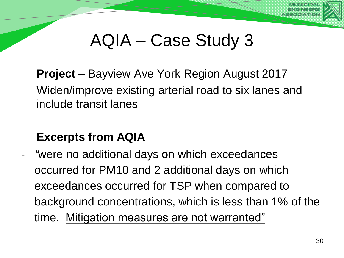

**Project** – Bayview Ave York Region August 2017 Widen/improve existing arterial road to six lanes and include transit lanes

#### **Excerpts from AQIA**

- *"*were no additional days on which exceedances occurred for PM10 and 2 additional days on which exceedances occurred for TSP when compared to background concentrations, which is less than 1% of the time. Mitigation measures are not warranted"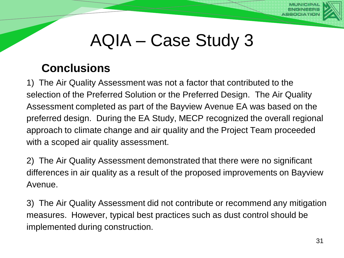

#### **Conclusions**

1) The Air Quality Assessment was not a factor that contributed to the selection of the Preferred Solution or the Preferred Design. The Air Quality Assessment completed as part of the Bayview Avenue EA was based on the preferred design. During the EA Study, MECP recognized the overall regional approach to climate change and air quality and the Project Team proceeded with a scoped air quality assessment.

2) The Air Quality Assessment demonstrated that there were no significant differences in air quality as a result of the proposed improvements on Bayview Avenue.

3) The Air Quality Assessment did not contribute or recommend any mitigation measures. However, typical best practices such as dust control should be implemented during construction.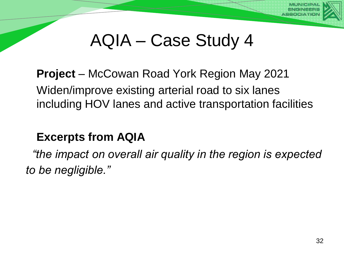

**Project** – McCowan Road York Region May 2021 Widen/improve existing arterial road to six lanes including HOV lanes and active transportation facilities

#### **Excerpts from AQIA**

*"the impact on overall air quality in the region is expected to be negligible."*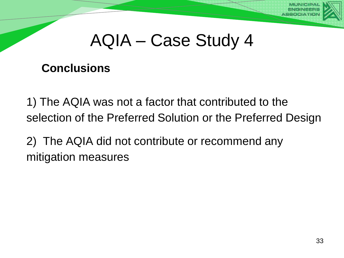

#### **Conclusions**

1) The AQIA was not a factor that contributed to the selection of the Preferred Solution or the Preferred Design

2) The AQIA did not contribute or recommend any mitigation measures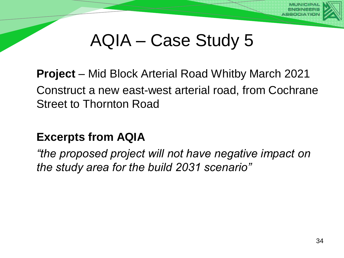

**Project** – Mid Block Arterial Road Whitby March 2021 Construct a new east-west arterial road, from Cochrane Street to Thornton Road

#### **Excerpts from AQIA**

*"the proposed project will not have negative impact on the study area for the build 2031 scenario"*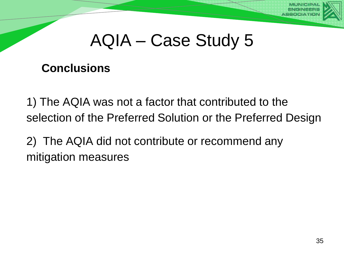

#### **Conclusions**

1) The AQIA was not a factor that contributed to the selection of the Preferred Solution or the Preferred Design

2) The AQIA did not contribute or recommend any mitigation measures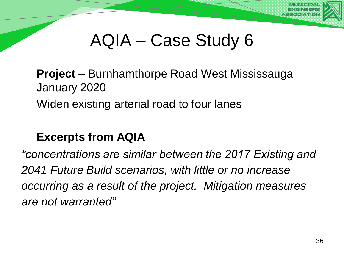

**Project** – Burnhamthorpe Road West Mississauga January 2020 Widen existing arterial road to four lanes

#### **Excerpts from AQIA**

*"concentrations are similar between the 2017 Existing and 2041 Future Build scenarios, with little or no increase occurring as a result of the project. Mitigation measures are not warranted"*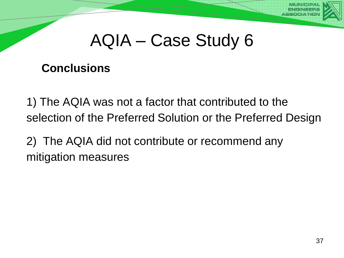

#### **Conclusions**

1) The AQIA was not a factor that contributed to the selection of the Preferred Solution or the Preferred Design

2) The AQIA did not contribute or recommend any mitigation measures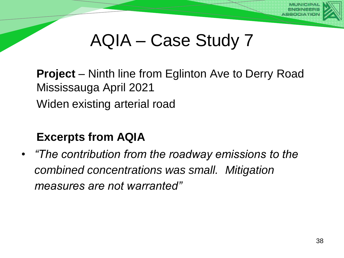

**Project** – Ninth line from Eglinton Ave to Derry Road Mississauga April 2021 Widen existing arterial road

#### **Excerpts from AQIA**

• *"The contribution from the roadway emissions to the combined concentrations was small. Mitigation measures are not warranted"*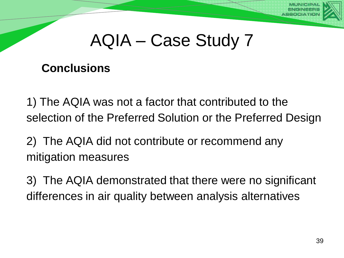

#### **Conclusions**

1) The AQIA was not a factor that contributed to the selection of the Preferred Solution or the Preferred Design

2) The AQIA did not contribute or recommend any mitigation measures

3) The AQIA demonstrated that there were no significant differences in air quality between analysis alternatives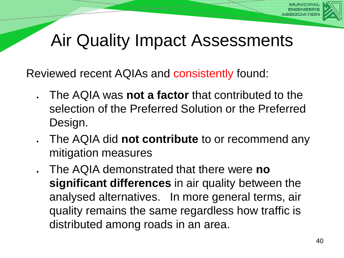Reviewed recent AQIAs and consistently found:

- The AQIA was **not a factor** that contributed to the selection of the Preferred Solution or the Preferred Design.
- The AQIA did **not contribute** to or recommend any mitigation measures
- The AQIA demonstrated that there were **no significant differences** in air quality between the analysed alternatives. In more general terms, air quality remains the same regardless how traffic is distributed among roads in an area.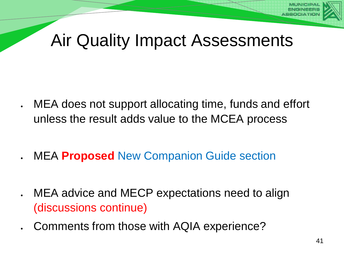- MEA does not support allocating time, funds and effort unless the result adds value to the MCEA process
	- MEA **Proposed** New Companion Guide section
- MEA advice and MECP expectations need to align (discussions continue)
- Comments from those with AQIA experience?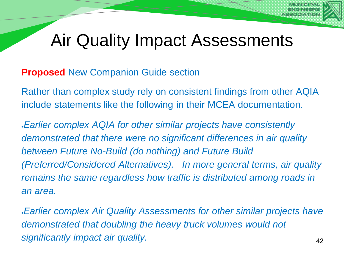#### **Proposed** New Companion Guide section

Rather than complex study rely on consistent findings from other AQIA include statements like the following in their MCEA documentation.

*Earlier complex AQIA for other similar projects have consistently demonstrated that there were no significant differences in air quality between Future No-Build (do nothing) and Future Build (Preferred/Considered Alternatives). In more general terms, air quality remains the same regardless how traffic is distributed among roads in an area.*

*Earlier complex Air Quality Assessments for other similar projects have demonstrated that doubling the heavy truck volumes would not significantly impact air quality.* <sup>42</sup>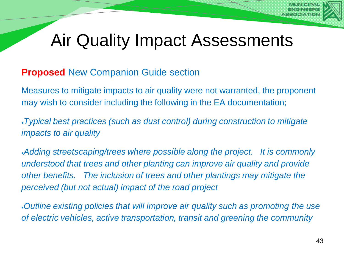#### **Proposed** New Companion Guide section

Measures to mitigate impacts to air quality were not warranted, the proponent may wish to consider including the following in the EA documentation;

*Typical best practices (such as dust control) during construction to mitigate impacts to air quality* 

*Adding streetscaping/trees where possible along the project. It is commonly understood that trees and other planting can improve air quality and provide other benefits. The inclusion of trees and other plantings may mitigate the perceived (but not actual) impact of the road project*

*Outline existing policies that will improve air quality such as promoting the use of electric vehicles, active transportation, transit and greening the community*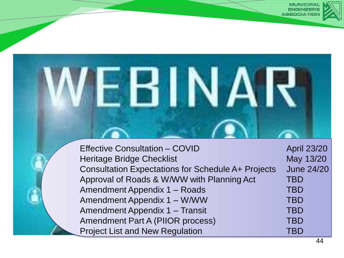

| <b>Effective Consultation - COVID</b>                     | <b>April 23/20</b> |
|-----------------------------------------------------------|--------------------|
| <b>Heritage Bridge Checklist</b>                          | May 13/20          |
| <b>Consultation Expectations for Schedule A+ Projects</b> | <b>June 24/20</b>  |
| Approval of Roads & W/WW with Planning Act                | <b>TBD</b>         |
| Amendment Appendix 1 - Roads                              | <b>TBD</b>         |
| Amendment Appendix 1 – W/WW                               | <b>TBD</b>         |
| Amendment Appendix 1 - Transit                            | <b>TBD</b>         |
| <b>Amendment Part A (PIIOR process)</b>                   | <b>TBD</b>         |
| <b>Project List and New Regulation</b>                    | TBD                |

**MUNICIPA**<br>ENGINEERS **ASSOCIATIO**